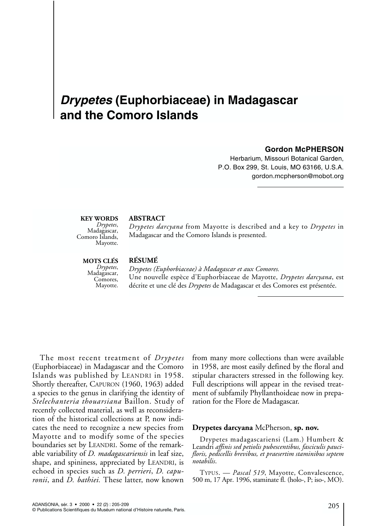## *Drypetes* **(Euphorbiaceae) in Madagascar and the Comoro Islands**

#### **Gordon McPHERSON**

Herbarium, Missouri Botanical Garden, P.O. Box 299, St. Louis, MO 63166, U.S.A. gordon.mcpherson@mobot.org

# **KEY WORDS**<br>*Drypetes*,

*Drypetes*, Madagascar, Comoro Islands, Mayotte.

#### **ABSTRACT**

*Drypetes darcyana* from Mayotte is described and a key to *Drypetes* in Madagascar and the Comoro Islands is presented.

**MOTS CLÉS**<br>*Drypetes*,

## *Drypetes*, Madagascar, Comores, Mayotte.

## **RÉSUMÉ**

*Drypetes (Euphorbiaceae) à Madagascar et aux Comores.*  Une nouvelle espèce d'Euphorbiaceae de Mayotte, *Drypetes darcyana*, est décrite et une clé des *Drypetes* de Madagascar et des Comores est présentée.

The most recent treatment of *Drypetes* (Euphorbiaceae) in Madagascar and the Comoro Islands was published by LEANDRI in 1958. Shortly thereafter, CAPURON (1960, 1963) added a species to the genus in clarifying the identity of *Stelechanteria thouarsiana* Baillon. Study of recently collected material, as well as reconsideration of the historical collections at P, now indicates the need to recognize a new species from Mayotte and to modify some of the species boundaries set by LEANDRI. Some of the remarkable variability of *D. madagascariensis* in leaf size, shape, and spininess, appreciated by LEANDRI, is echoed in species such as *D. perrieri*, *D. capuronii*, and *D. bathiei.* These latter, now known

from many more collections than were available in 1958, are most easily defined by the floral and stipular characters stressed in the following key. Full descriptions will appear in the revised treatment of subfamily Phyllanthoideae now in preparation for the Flore de Madagascar.

#### **Drypetes darcyana** McPherson, **sp. nov.**

Drypetes madagascariensi (Lam.) Humbert & Leandri *affinis sed petiolis pubescentibus, fasciculis paucifloris, pedicellis brevibus, et praesertim staminibus septem notabilis*.

TYPUS. — *Pascal 519*, Mayotte, Convalescence, 500 m, 17 Apr. 1996, staminate fl. (holo-, P; iso-, MO).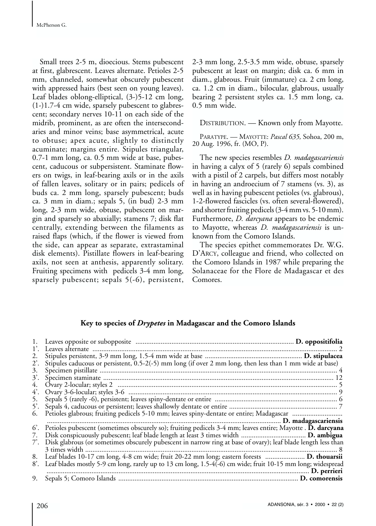Small trees 2-5 m, dioecious. Stems pubescent at first, glabrescent. Leaves alternate. Petioles 2-5 mm, channeled, somewhat obscurely pubescent with appressed hairs (best seen on young leaves). Leaf blades oblong-elliptical, (3-)5-12 cm long, (1-)1.7-4 cm wide, sparsely pubescent to glabrescent; secondary nerves 10-11 on each side of the midrib, prominent, as are often the intersecondaries and minor veins; base asymmetrical, acute to obtuse; apex acute, slightly to distinctly acuminate; margins entire. Stipules triangular, 0.7-1 mm long, ca. 0.5 mm wide at base, pubescent, caducous or subpersistent. Staminate flowers on twigs, in leaf-bearing axils or in the axils of fallen leaves, solitary or in pairs; pedicels of buds ca. 2 mm long, sparsely pubescent; buds ca. 3 mm in diam.; sepals 5, (in bud) 2-3 mm long, 2-3 mm wide, obtuse, pubescent on margin and sparsely so abaxially; stamens 7; disk flat centrally, extending between the filaments as raised flaps (which, if the flower is viewed from the side, can appear as separate, extrastaminal disk elements). Pistillate flowers in leaf-bearing axils, not seen at anthesis, apparently solitary. Fruiting specimens with pedicels 3-4 mm long, sparsely pubescent; sepals 5(-6), persistent,

2-3 mm long, 2.5-3.5 mm wide, obtuse, sparsely pubescent at least on margin; disk ca. 6 mm in diam., glabrous. Fruit (immature) ca. 2 cm long, ca. 1.2 cm in diam., bilocular, glabrous, usually bearing 2 persistent styles ca. 1.5 mm long, ca. 0.5 mm wide.

DISTRIBUTION. — Known only from Mayotte.

PARATYPE.—MAYOTTE: *Pascal 635,* Sohoa, 200 m, 20 Aug. 1996, fr. (MO, P).

The new species resembles *D. madagascariensis* in having a calyx of 5 (rarely 6) sepals combined with a pistil of 2 carpels, but differs most notably in having an androecium of 7 stamens (vs. 3), as well as in having pubescent petioles (vs. glabrous), 1-2-flowered fascicles (vs. often several-flowered), and shorter fruiting pedicels (3-4 mm vs. 5-10 mm). Furthermore, *D. darcyana* appears to be endemic to Mayotte, whereas *D. madagascariensis* is unknown from the Comoro Islands.

The species epithet commemorates Dr. W.G. D'ARCY, colleague and friend, who collected on the Comoro Islands in 1987 while preparing the Solanaceae for the Flore de Madagascar et des Comores.

#### **Key to species of** *Drypetes* **in Madagascar and the Comoro Islands**

| 1.<br>ľ.       |                                                                                                               |  |
|----------------|---------------------------------------------------------------------------------------------------------------|--|
| 2.             |                                                                                                               |  |
| $2^{\prime}$ . | Stipules caducous or persistent, 0.5-2(-5) mm long (if over 2 mm long, then less than 1 mm wide at base)      |  |
| 3.             |                                                                                                               |  |
| 3.             |                                                                                                               |  |
| 4.             |                                                                                                               |  |
| 4.             |                                                                                                               |  |
| 5.             |                                                                                                               |  |
| 5.             |                                                                                                               |  |
|                |                                                                                                               |  |
|                |                                                                                                               |  |
| 6'.            | Petioles pubescent (sometimes obscurely so); fruiting pedicels 3-4 mm; leaves entire; Mayotte . D. darcyana   |  |
| 7.             |                                                                                                               |  |
| 7.             | Disk glabrous (or sometimes obscurely pubescent in narrow ring at base of ovary); leaf blade length less than |  |
|                |                                                                                                               |  |
| 8.             |                                                                                                               |  |
| 8'.            | Leaf blades mostly 5-9 cm long, rarely up to 13 cm long, 1.5-4(-6) cm wide; fruit 10-15 mm long; widespread   |  |
|                |                                                                                                               |  |
| 9.             |                                                                                                               |  |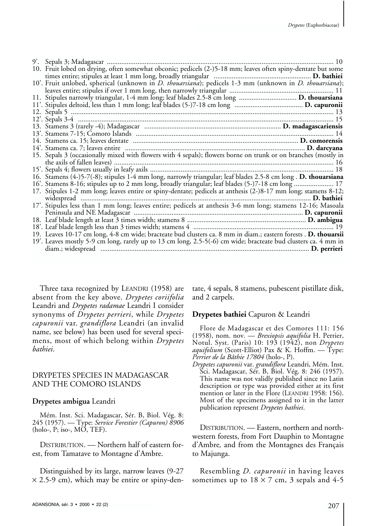| 10'. Fruit unlobed, spherical (unknown in <i>D. thouarsiana</i> ); pedicels 1-3 mm (unknown in <i>D. thouarsiana</i> ); |
|-------------------------------------------------------------------------------------------------------------------------|
|                                                                                                                         |
|                                                                                                                         |
|                                                                                                                         |
|                                                                                                                         |
|                                                                                                                         |
|                                                                                                                         |
|                                                                                                                         |
|                                                                                                                         |
|                                                                                                                         |
| 15. Sepals 3 (occasionally mixed with flowers with 4 sepals); flowers borne on trunk or on branches (mostly in          |
|                                                                                                                         |
|                                                                                                                         |
| 16. Stamens (4-)5-7(-8); stipules 1-4 mm long, narrowly triangular; leaf blades 2.5-8 cm long. D. thouarsiana           |
| 16. Stamens 8-16; stipules up to 2 mm long, broadly triangular; leaf blades (5-)7-18 cm long  17                        |
| 17. Stipules 1-2 mm long; leaves entire or spiny-dentate; pedicels at anthesis (2-)8-17 mm long; stamens 8-12;          |
|                                                                                                                         |
| 17'. Stipules less than 1 mm long; leaves entire; pedicels at anthesis 3-6 mm long; stamens 12-16; Masoala              |
|                                                                                                                         |
|                                                                                                                         |
|                                                                                                                         |
| 19. Leaves 10-17 cm long, 4-8 cm wide; bracteate bud clusters ca. 8 mm in diam.; eastern forests . D. thouarsii         |
| 19'. Leaves mostly 5-9 cm long, rarely up to 13 cm long, 2.5-5(-6) cm wide; bracteate bud clusters ca. 4 mm in          |
|                                                                                                                         |

Three taxa recognized by LEANDRI (1958) are absent from the key above. *Drypetes coriifolia* Leandri and *Drypetes radamae* Leandri I consider synonyms of *Drypetes perrieri*, while *Drypetes capuronii* var. *grandiflora* Leandri (an invalid name, see below) has been used for several specimens, most of which belong within *Drypetes bathiei*.

#### DRYPETES SPECIES IN MADAGASCAR AND THE COMORO ISLANDS

#### **Drypetes ambigua** Leandri

Mém. Inst. Sci. Madagascar, Sér. B, Biol. Vég. 8: 245 (1957). — Type: *Service Forestier (Capuron) 8906*  $(holo-, P; iso-, M\overline{O}, TEF).$ 

DISTRIBUTION. — Northern half of eastern forest, from Tamatave to Montagne d'Ambre.

Distinguished by its large, narrow leaves (9-27  $\times$  2.5-9 cm), which may be entire or spiny-dentate, 4 sepals, 8 stamens, pubescent pistillate disk, and 2 carpels.

### **Drypetes bathiei** Capuron & Leandri

Flore de Madagascar et des Comores 111: 156 (1958), nom. nov. — *Brexiopsis aquifolia* H. Perrier, Notul. Syst. (Paris) 10: 193 (1942), non *Drypetes aquifolium* (Scott-Elliot) Pax & K. Hoffm. — Type: *Perrier de la Bâthie 17804* (holo-, P).

*Drypetes capuronii* var. *grandiflora* Leandri, Mém. Inst. Sci. Madagascar, Sér. B, Biol. Vég. 8: 246 (1957). This name was not validly published since no Latin description or type was provided either at its first mention or later in the Flore (LEANDRI 1958: 156). Most of the specimens assigned to it in the latter publication represent *Drypetes bathiei*.

DISTRIBUTION. — Eastern, northern and northwestern forests, from Fort Dauphin to Montagne d'Ambre*,* and from the Montagnes des Français to Majunga.

Resembling *D. capuronii* in having leaves sometimes up to  $18 \times 7$  cm, 3 sepals and 4-5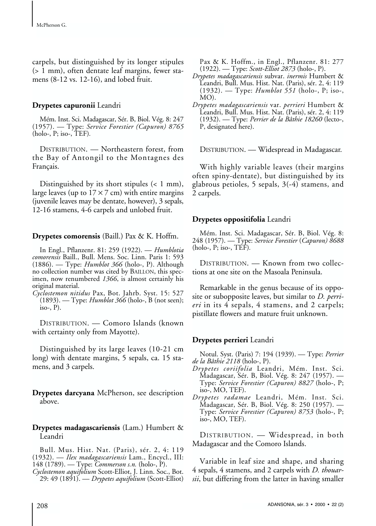carpels, but distinguished by its longer stipules (> 1 mm), often dentate leaf margins, fewer stamens (8-12 vs. 12-16), and lobed fruit.

#### **Drypetes capuronii** Leandri

Mém. Inst. Sci. Madagascar, Sér. B, Biol. Vég. 8: 247 (1957). — Type: *Service Forestier (Capuron) 8765* (holo-, P; iso-, TEF)*.*

DISTRIBUTION. — Northeastern forest, from the Bay of Antongil to the Montagnes des Français.

Distinguished by its short stipules (< 1 mm), large leaves (up to  $17 \times 7$  cm) with entire margins (juvenile leaves may be dentate, however), 3 sepals, 12-16 stamens, 4-6 carpels and unlobed fruit.

#### **Drypetes comorensis** (Baill.) Pax & K. Hoffm.

In Engl., Pflanzenr. 81: 259 (1922). — *Humblotia comorensis* Baill., Bull. Mens. Soc. Linn. Paris 1: 593 (1886). — Type: *Humblot 366* (holo-, P). Although no collection number was cited by BAILLON, this specimen, now renumbered *1366*, is almost certainly his original material.

*Cyclostemon nitidus* Pax, Bot. Jahrb. Syst. 15: 527 (1893). — Type: *Humblot 366* (holo-, B (not seen); iso-,  $P$ ).

DISTRIBUTION. — Comoro Islands (known with certainty only from Mayotte).

Distinguished by its large leaves (10-21 cm long) with dentate margins, 5 sepals, ca. 15 stamens, and 3 carpels.

**Drypetes darcyana** McPherson, see description above.

#### **Drypetes madagascariensis** (Lam.) Humbert & Leandri

Bull. Mus. Hist. Nat. (Paris), sér. 2, 4: 119 (1932). — *Ilex madagascariensis* Lam., Encycl., III: 148 (1789). — Type: *Commerson s.n.* (holo-, P).

*Cyclostemon aquifolium* Scott-Elliot, J. Linn. Soc., Bot. 29: 49 (1891). — *Drypetes aquifolium* (Scott-Elliot) Pax & K. Hoffm., in Engl., Pflanzenr. 81: 277 (1922). — Type: *Scott-Elliot 2873* (holo-, P).

- *Drypetes madagascariensis* subvar. *inermis* Humbert & Leandri, Bull. Mus. Hist. Nat. (Paris), sér. 2, 4: 119 (1932). — Type: *Humblot 551* (holo-, P; iso-, MO).
- *Drypetes madagascariensis* var. *perrieri* Humbert & Leandri, Bull. Mus. Hist. Nat. (Paris), sér. 2, 4: 119 (1932). — Type: *Perrier de la Bâthie 18260* (lecto-, P, designated here).

DISTRIBUTION. — Widespread in Madagascar.

With highly variable leaves (their margins often spiny-dentate), but distinguished by its glabrous petioles, 5 sepals, 3(-4) stamens, and 2 carpels.

### **Drypetes oppositifolia** Leandri

Mém. Inst. Sci. Madagascar, Sér. B, Biol. Vég. 8: 248 (1957). — Type: *Service Forestier* (*Capuron) 8688* (holo-, P; iso-, TEF)*.*

DISTRIBUTION. — Known from two collections at one site on the Masoala Peninsula.

Remarkable in the genus because of its opposite or subopposite leaves, but similar to *D. perrieri* in its 4 sepals, 4 stamens, and 2 carpels; pistillate flowers and mature fruit unknown.

### **Drypetes perrieri** Leandri

Notul. Syst. (Paris) 7: 194 (1939). — Type: *Perrier de la Bâthie 2118* (holo-, P).

- *Drypetes coriifolia* Leandri, Mém. Inst. Sci. Madagascar, Sér. B, Biol. Vég. 8: 247 (1957). — Type: *Service Forestier (Capuron) 8827* (holo-, P; iso-, MO, TEF).
- *Drypetes radamae* Leandri, Mém. Inst. Sci. Madagascar, Sér. B, Biol. Vég. 8: 250 (1957). — Type: *Service Forestier (Capuron) 8753* (holo-, P; iso-, MO, TEF).

DISTRIBUTION. — Widespread, in both Madagascar and the Comoro Islands.

Variable in leaf size and shape, and sharing 4 sepals, 4 stamens, and 2 carpels with *D. thouarsii*, but differing from the latter in having smaller